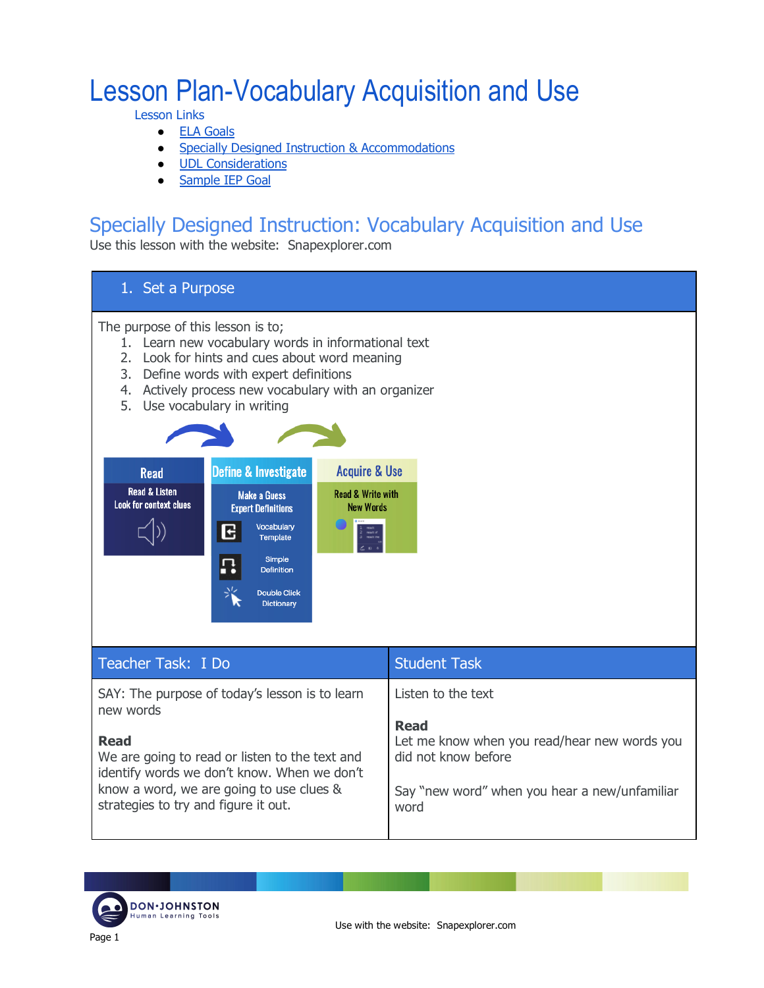# Lesson Plan-Vocabulary Acquisition and Use

Lesson Links

- ELA Goals
- Specially Designed Instruction & Accommodations
- UDL Considerations
- Sample IEP Goal

### Specially Designed Instruction: Vocabulary Acquisition and Use

Use this lesson with the website: Snapexplorer.com

#### 1. Set a Purpose

The purpose of this lesson is to;

- 1. Learn new vocabulary words in informational text
- 2. Look for hints and cues about word meaning
- 3. Define words with expert definitions
- 4. Actively process new vocabulary with an organizer
- 5. Use vocabulary in writing



| Teacher Task: I Do                                                                                                                                                                               | <b>Student Task</b>                                                                                                                         |
|--------------------------------------------------------------------------------------------------------------------------------------------------------------------------------------------------|---------------------------------------------------------------------------------------------------------------------------------------------|
| SAY: The purpose of today's lesson is to learn<br>new words                                                                                                                                      | Listen to the text                                                                                                                          |
| <b>Read</b><br>We are going to read or listen to the text and<br>identify words we don't know. When we don't<br>know a word, we are going to use clues &<br>strategies to try and figure it out. | <b>Read</b><br>Let me know when you read/hear new words you<br>did not know before<br>Say "new word" when you hear a new/unfamiliar<br>word |

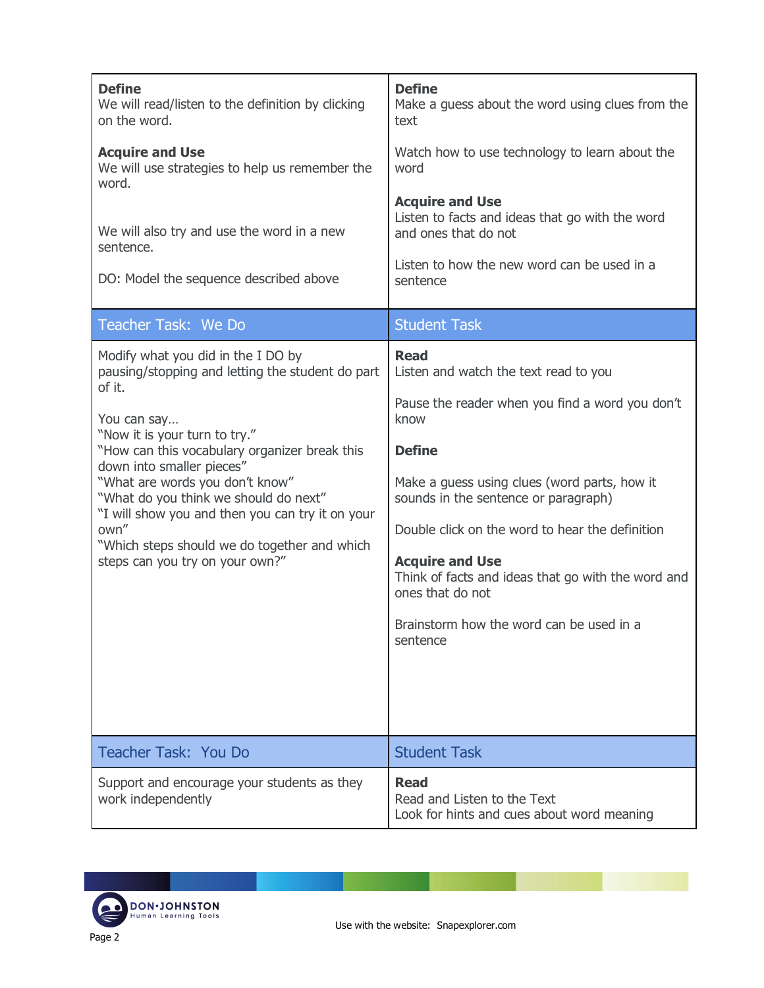| <b>Define</b><br>We will read/listen to the definition by clicking<br>on the word.                          | <b>Define</b><br>Make a guess about the word using clues from the<br>text                                                                        |
|-------------------------------------------------------------------------------------------------------------|--------------------------------------------------------------------------------------------------------------------------------------------------|
| <b>Acquire and Use</b><br>We will use strategies to help us remember the<br>word.                           | Watch how to use technology to learn about the<br>word                                                                                           |
| We will also try and use the word in a new<br>sentence.                                                     | <b>Acquire and Use</b><br>Listen to facts and ideas that go with the word<br>and ones that do not<br>Listen to how the new word can be used in a |
| DO: Model the sequence described above                                                                      | sentence                                                                                                                                         |
| Teacher Task: We Do                                                                                         | <b>Student Task</b>                                                                                                                              |
| Modify what you did in the I DO by<br>pausing/stopping and letting the student do part                      | <b>Read</b><br>Listen and watch the text read to you                                                                                             |
| of it.<br>You can say                                                                                       | Pause the reader when you find a word you don't<br>know                                                                                          |
| "Now it is your turn to try."<br>"How can this vocabulary organizer break this<br>down into smaller pieces" | <b>Define</b>                                                                                                                                    |
| "What are words you don't know"<br>"What do you think we should do next"                                    | Make a guess using clues (word parts, how it<br>sounds in the sentence or paragraph)                                                             |
| "I will show you and then you can try it on your<br>own"<br>"Which steps should we do together and which    | Double click on the word to hear the definition                                                                                                  |
| steps can you try on your own?"                                                                             | <b>Acquire and Use</b><br>Think of facts and ideas that go with the word and<br>ones that do not                                                 |
|                                                                                                             | Brainstorm how the word can be used in a<br>sentence                                                                                             |
|                                                                                                             |                                                                                                                                                  |
|                                                                                                             |                                                                                                                                                  |
| Teacher Task: You Do                                                                                        | <b>Student Task</b>                                                                                                                              |
| Support and encourage your students as they<br>work independently                                           | <b>Read</b><br>Read and Listen to the Text<br>Look for hints and cues about word meaning                                                         |

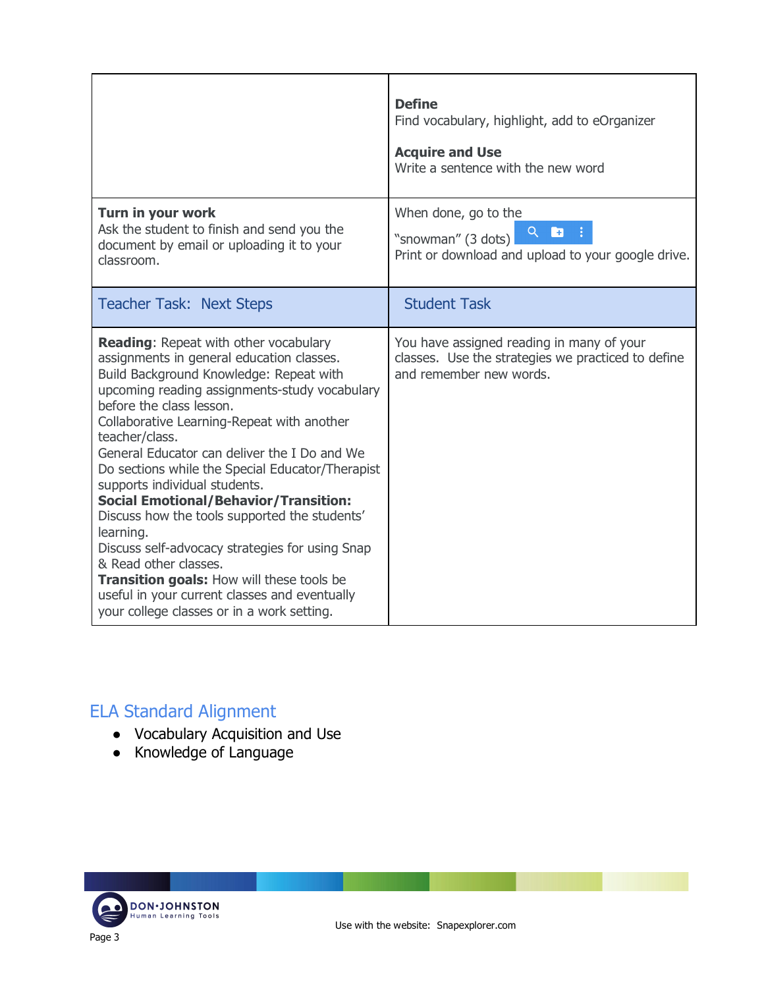|                                                                                                                                                                                                                                                                                                                                                                                                                                                                                                                                                                                                                                                                                                                                                              | <b>Define</b><br>Find vocabulary, highlight, add to eOrganizer<br><b>Acquire and Use</b><br>Write a sentence with the new word |
|--------------------------------------------------------------------------------------------------------------------------------------------------------------------------------------------------------------------------------------------------------------------------------------------------------------------------------------------------------------------------------------------------------------------------------------------------------------------------------------------------------------------------------------------------------------------------------------------------------------------------------------------------------------------------------------------------------------------------------------------------------------|--------------------------------------------------------------------------------------------------------------------------------|
| Turn in your work<br>Ask the student to finish and send you the<br>document by email or uploading it to your<br>classroom.                                                                                                                                                                                                                                                                                                                                                                                                                                                                                                                                                                                                                                   | When done, go to the<br>Q.<br>b<br>"snowman" (3 dots)<br>Print or download and upload to your google drive.                    |
| <b>Teacher Task: Next Steps</b>                                                                                                                                                                                                                                                                                                                                                                                                                                                                                                                                                                                                                                                                                                                              | <b>Student Task</b>                                                                                                            |
| <b>Reading: Repeat with other vocabulary</b><br>assignments in general education classes.<br>Build Background Knowledge: Repeat with<br>upcoming reading assignments-study vocabulary<br>before the class lesson.<br>Collaborative Learning-Repeat with another<br>teacher/class.<br>General Educator can deliver the I Do and We<br>Do sections while the Special Educator/Therapist<br>supports individual students.<br><b>Social Emotional/Behavior/Transition:</b><br>Discuss how the tools supported the students'<br>learning.<br>Discuss self-advocacy strategies for using Snap<br>& Read other classes.<br>Transition goals: How will these tools be<br>useful in your current classes and eventually<br>your college classes or in a work setting. | You have assigned reading in many of your<br>classes. Use the strategies we practiced to define<br>and remember new words.     |

### ELA Standard Alignment

- Vocabulary Acquisition and Use
- Knowledge of Language

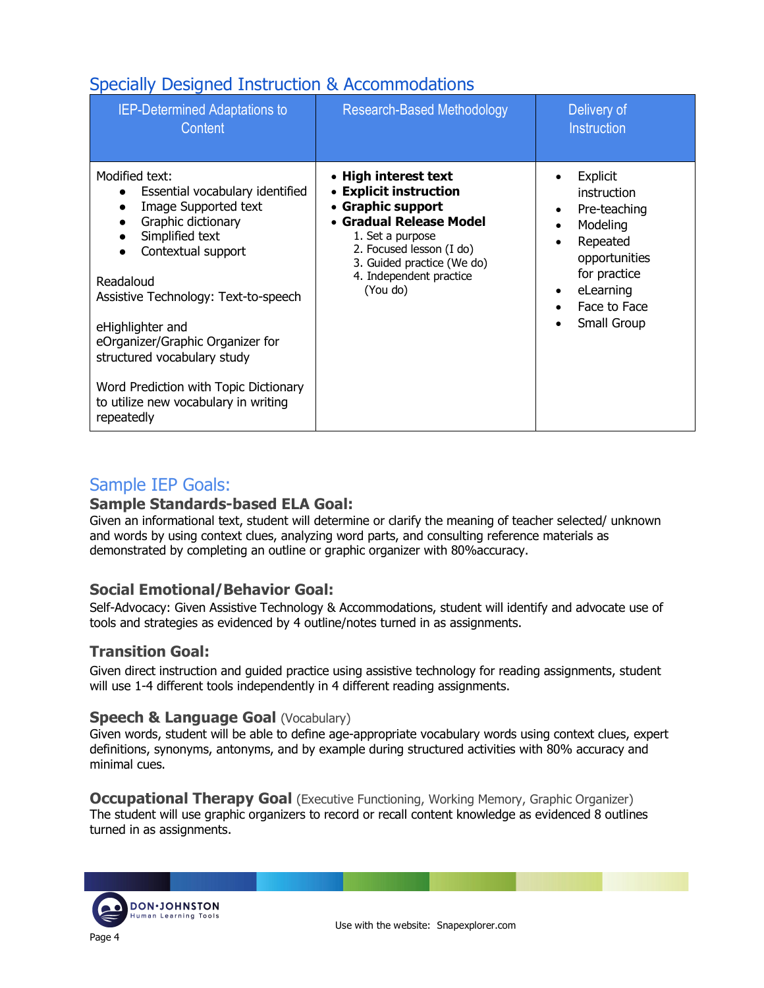### Specially Designed Instruction & Accommodations

| <b>IEP-Determined Adaptations to</b><br>Content                                                                                                                                                                                                                                                                                                                                                  | <b>Research-Based Methodology</b>                                                                                                                                                                                   | Delivery of<br>Instruction                                                                                                                                |
|--------------------------------------------------------------------------------------------------------------------------------------------------------------------------------------------------------------------------------------------------------------------------------------------------------------------------------------------------------------------------------------------------|---------------------------------------------------------------------------------------------------------------------------------------------------------------------------------------------------------------------|-----------------------------------------------------------------------------------------------------------------------------------------------------------|
| Modified text:<br>Essential vocabulary identified<br>Image Supported text<br>$\bullet$<br>Graphic dictionary<br>Simplified text<br>Contextual support<br>Readaloud<br>Assistive Technology: Text-to-speech<br>eHighlighter and<br>eOrganizer/Graphic Organizer for<br>structured vocabulary study<br>Word Prediction with Topic Dictionary<br>to utilize new vocabulary in writing<br>repeatedly | • High interest text<br>• Explicit instruction<br>• Graphic support<br>• Gradual Release Model<br>1. Set a purpose<br>2. Focused lesson (I do)<br>3. Guided practice (We do)<br>4. Independent practice<br>(You do) | Explicit<br>instruction<br>Pre-teaching<br>Modeling<br>$\bullet$<br>Repeated<br>opportunities<br>for practice<br>eLearning<br>Face to Face<br>Small Group |

#### Sample IEP Goals:

#### **Sample Standards-based ELA Goal:**

Given an informational text, student will determine or clarify the meaning of teacher selected/ unknown and words by using context clues, analyzing word parts, and consulting reference materials as demonstrated by completing an outline or graphic organizer with 80%accuracy.

#### **Social Emotional/Behavior Goal:**

Self-Advocacy: Given Assistive Technology & Accommodations, student will identify and advocate use of tools and strategies as evidenced by 4 outline/notes turned in as assignments.

#### **Transition Goal:**

Given direct instruction and guided practice using assistive technology for reading assignments, student will use 1-4 different tools independently in 4 different reading assignments.

#### **Speech & Language Goal (Vocabulary)**

Given words, student will be able to define age-appropriate vocabulary words using context clues, expert definitions, synonyms, antonyms, and by example during structured activities with 80% accuracy and minimal cues.

**Occupational Therapy Goal** (Executive Functioning, Working Memory, Graphic Organizer) The student will use graphic organizers to record or recall content knowledge as evidenced 8 outlines turned in as assignments.